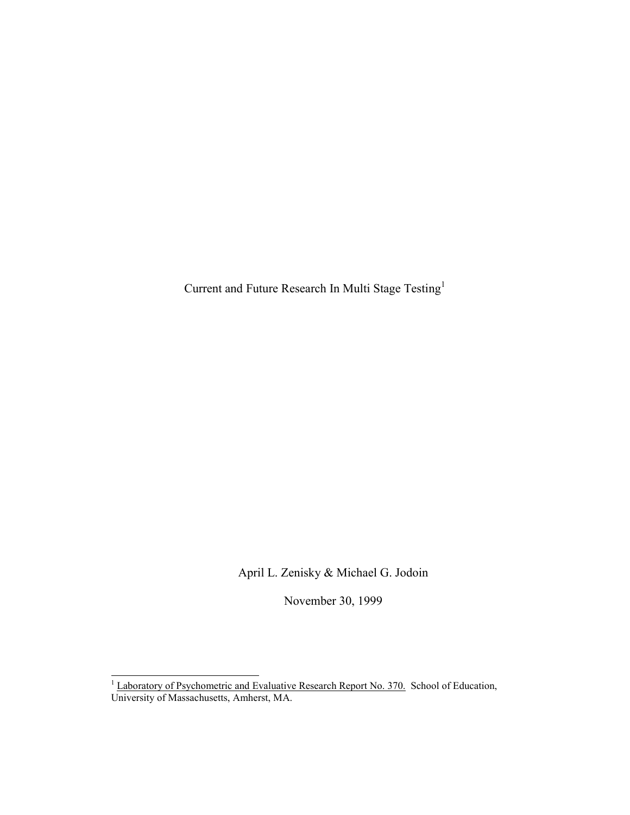Current and Future Research In Multi Stage Testing<sup>1</sup>

April L. Zenisky & Michael G. Jodoin

November 30, 1999

<sup>&</sup>lt;sup>1</sup> Laboratory of Psychometric and Evaluative Research Report No. 370. School of Education, University of Massachusetts, Amherst, MA.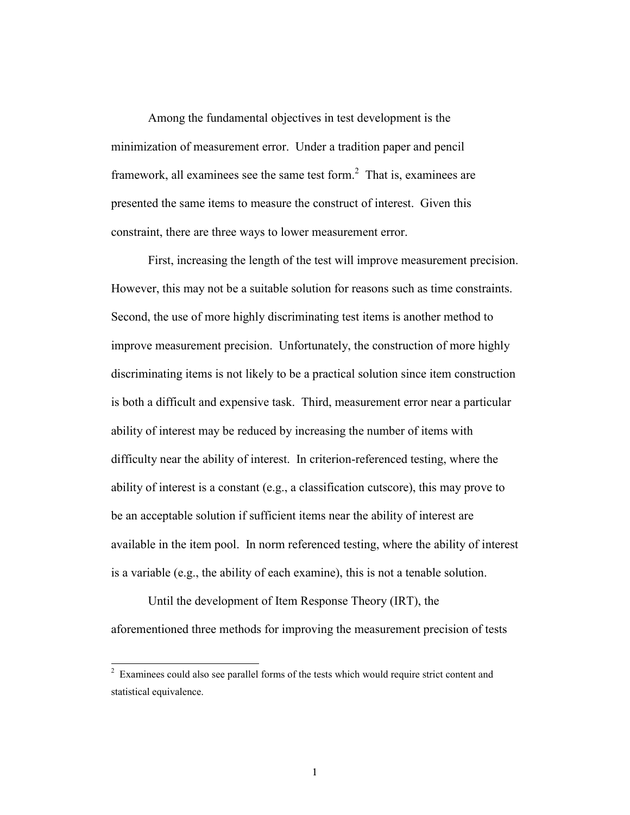Among the fundamental objectives in test development is the minimization of measurement error. Under a tradition paper and pencil framework, all examinees see the same test form. $<sup>2</sup>$  That is, examinees are</sup> presented the same items to measure the construct of interest. Given this constraint, there are three ways to lower measurement error.

First, increasing the length of the test will improve measurement precision. However, this may not be a suitable solution for reasons such as time constraints. Second, the use of more highly discriminating test items is another method to improve measurement precision. Unfortunately, the construction of more highly discriminating items is not likely to be a practical solution since item construction is both a difficult and expensive task. Third, measurement error near a particular ability of interest may be reduced by increasing the number of items with difficulty near the ability of interest. In criterion-referenced testing, where the ability of interest is a constant (e.g., a classification cutscore), this may prove to be an acceptable solution if sufficient items near the ability of interest are available in the item pool. In norm referenced testing, where the ability of interest is a variable (e.g., the ability of each examine), this is not a tenable solution.

Until the development of Item Response Theory (IRT), the aforementioned three methods for improving the measurement precision of tests

 $\overline{a}$ 

 $2$  Examinees could also see parallel forms of the tests which would require strict content and statistical equivalence.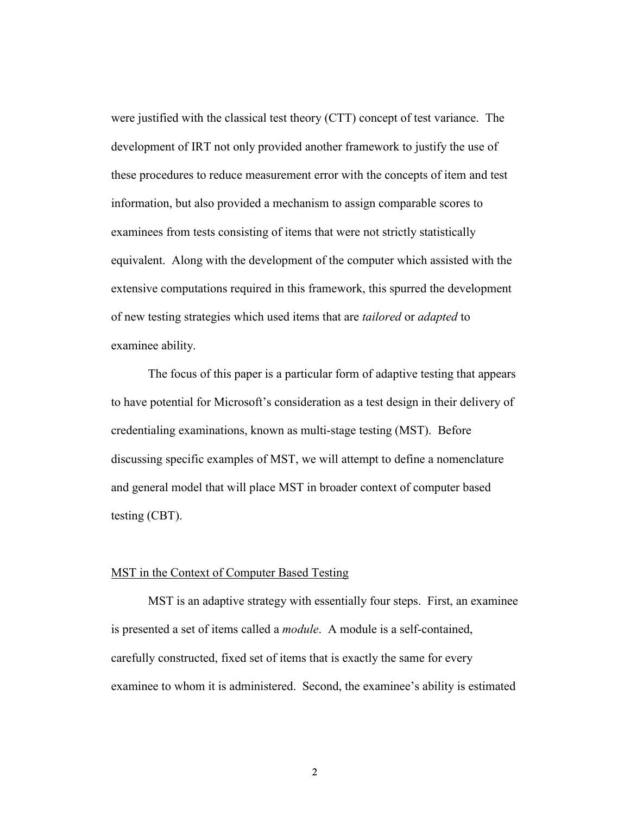were justified with the classical test theory (CTT) concept of test variance. The development of IRT not only provided another framework to justify the use of these procedures to reduce measurement error with the concepts of item and test information, but also provided a mechanism to assign comparable scores to examinees from tests consisting of items that were not strictly statistically equivalent. Along with the development of the computer which assisted with the extensive computations required in this framework, this spurred the development of new testing strategies which used items that are *tailored* or *adapted* to examinee ability.

The focus of this paper is a particular form of adaptive testing that appears to have potential for Microsoft's consideration as a test design in their delivery of credentialing examinations, known as multi-stage testing (MST). Before discussing specific examples of MST, we will attempt to define a nomenclature and general model that will place MST in broader context of computer based testing (CBT).

### MST in the Context of Computer Based Testing

MST is an adaptive strategy with essentially four steps. First, an examinee is presented a set of items called a *module*. A module is a self-contained, carefully constructed, fixed set of items that is exactly the same for every examinee to whom it is administered. Second, the examinee's ability is estimated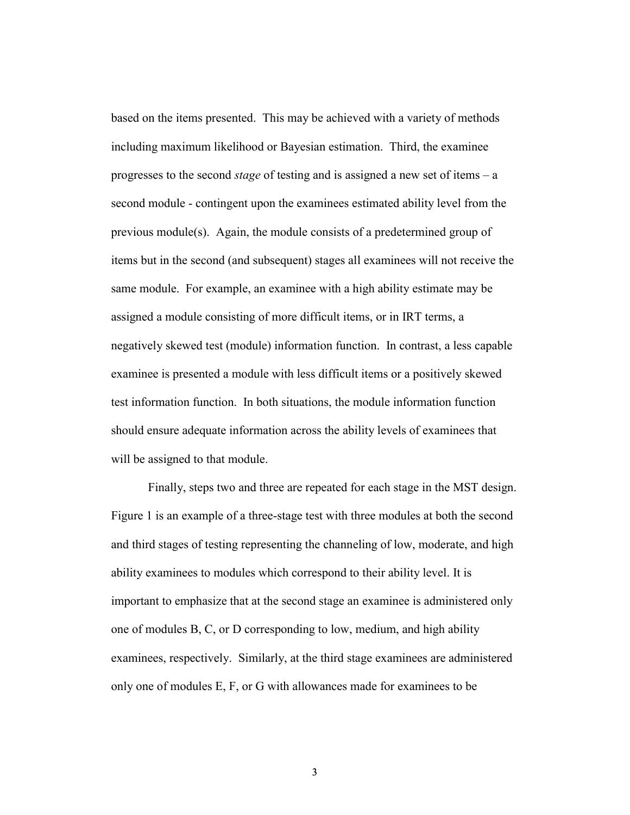based on the items presented. This may be achieved with a variety of methods including maximum likelihood or Bayesian estimation. Third, the examinee progresses to the second *stage* of testing and is assigned a new set of items – a second module - contingent upon the examinees estimated ability level from the previous module(s). Again, the module consists of a predetermined group of items but in the second (and subsequent) stages all examinees will not receive the same module. For example, an examinee with a high ability estimate may be assigned a module consisting of more difficult items, or in IRT terms, a negatively skewed test (module) information function. In contrast, a less capable examinee is presented a module with less difficult items or a positively skewed test information function. In both situations, the module information function should ensure adequate information across the ability levels of examinees that will be assigned to that module.

Finally, steps two and three are repeated for each stage in the MST design. Figure 1 is an example of a three-stage test with three modules at both the second and third stages of testing representing the channeling of low, moderate, and high ability examinees to modules which correspond to their ability level. It is important to emphasize that at the second stage an examinee is administered only one of modules B, C, or D corresponding to low, medium, and high ability examinees, respectively. Similarly, at the third stage examinees are administered only one of modules E, F, or G with allowances made for examinees to be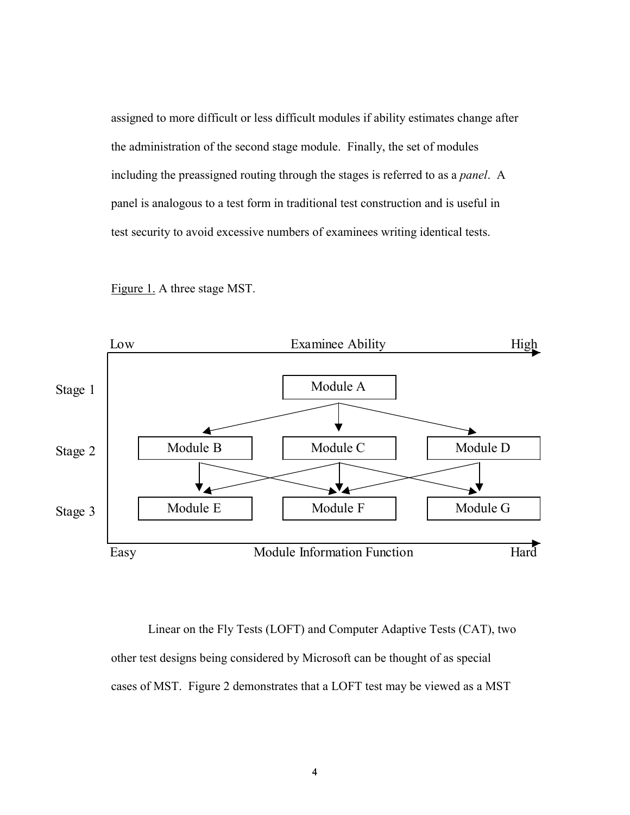assigned to more difficult or less difficult modules if ability estimates change after the administration of the second stage module. Finally, the set of modules including the preassigned routing through the stages is referred to as a *panel*. A panel is analogous to a test form in traditional test construction and is useful in test security to avoid excessive numbers of examinees writing identical tests.





 Linear on the Fly Tests (LOFT) and Computer Adaptive Tests (CAT), two other test designs being considered by Microsoft can be thought of as special cases of MST. Figure 2 demonstrates that a LOFT test may be viewed as a MST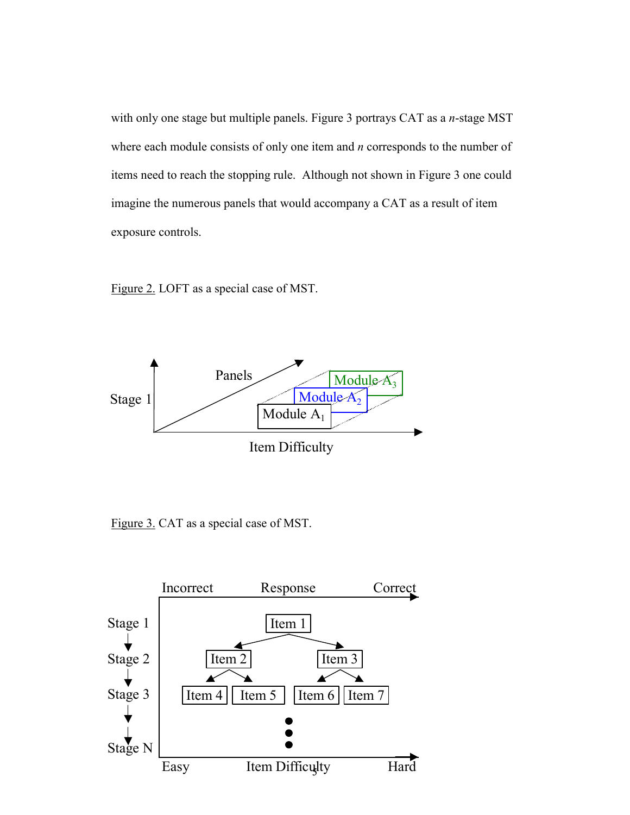with only one stage but multiple panels. Figure 3 portrays CAT as a *n*-stage MST where each module consists of only one item and *n* corresponds to the number of items need to reach the stopping rule. Although not shown in Figure 3 one could imagine the numerous panels that would accompany a CAT as a result of item exposure controls.

![](_page_5_Figure_1.jpeg)

![](_page_5_Figure_2.jpeg)

Figure 3. CAT as a special case of MST.

![](_page_5_Figure_4.jpeg)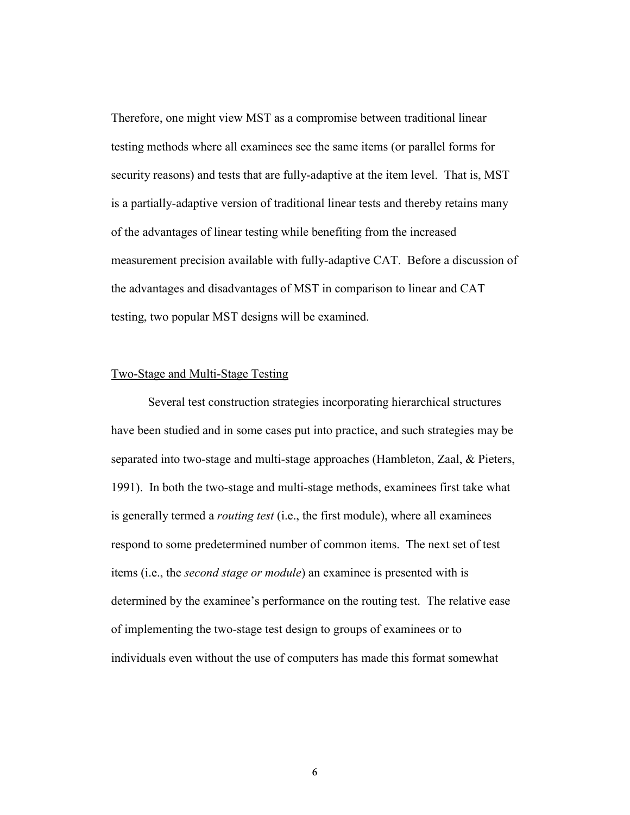Therefore, one might view MST as a compromise between traditional linear testing methods where all examinees see the same items (or parallel forms for security reasons) and tests that are fully-adaptive at the item level. That is, MST is a partially-adaptive version of traditional linear tests and thereby retains many of the advantages of linear testing while benefiting from the increased measurement precision available with fully-adaptive CAT. Before a discussion of the advantages and disadvantages of MST in comparison to linear and CAT testing, two popular MST designs will be examined.

## Two-Stage and Multi-Stage Testing

Several test construction strategies incorporating hierarchical structures have been studied and in some cases put into practice, and such strategies may be separated into two-stage and multi-stage approaches (Hambleton, Zaal, & Pieters, 1991). In both the two-stage and multi-stage methods, examinees first take what is generally termed a *routing test* (i.e., the first module), where all examinees respond to some predetermined number of common items. The next set of test items (i.e., the *second stage or module*) an examinee is presented with is determined by the examinee's performance on the routing test. The relative ease of implementing the two-stage test design to groups of examinees or to individuals even without the use of computers has made this format somewhat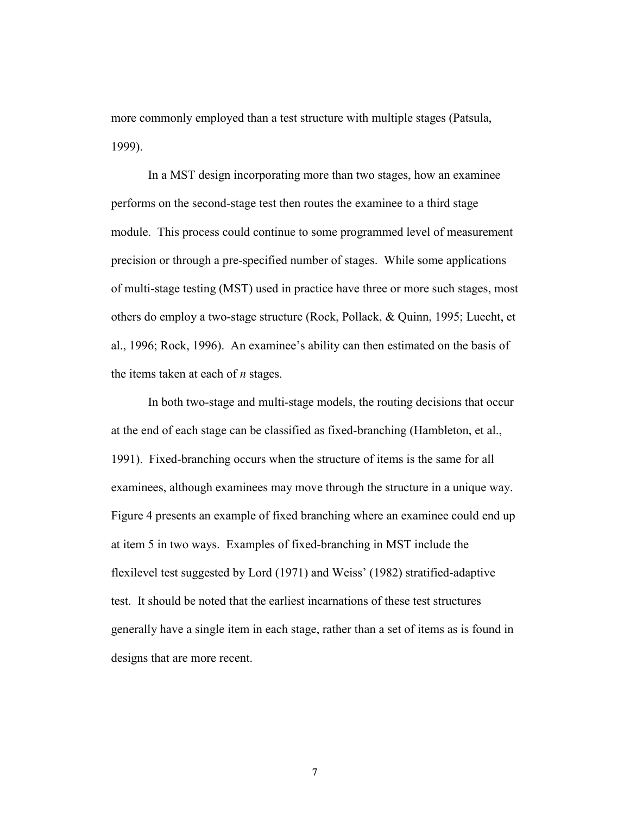more commonly employed than a test structure with multiple stages (Patsula, 1999).

In a MST design incorporating more than two stages, how an examinee performs on the second-stage test then routes the examinee to a third stage module. This process could continue to some programmed level of measurement precision or through a pre-specified number of stages. While some applications of multi-stage testing (MST) used in practice have three or more such stages, most others do employ a two-stage structure (Rock, Pollack, & Quinn, 1995; Luecht, et al., 1996; Rock, 1996). An examinee's ability can then estimated on the basis of the items taken at each of *n* stages.

In both two-stage and multi-stage models, the routing decisions that occur at the end of each stage can be classified as fixed-branching (Hambleton, et al., 1991). Fixed-branching occurs when the structure of items is the same for all examinees, although examinees may move through the structure in a unique way. Figure 4 presents an example of fixed branching where an examinee could end up at item 5 in two ways. Examples of fixed-branching in MST include the flexilevel test suggested by Lord (1971) and Weiss' (1982) stratified-adaptive test. It should be noted that the earliest incarnations of these test structures generally have a single item in each stage, rather than a set of items as is found in designs that are more recent.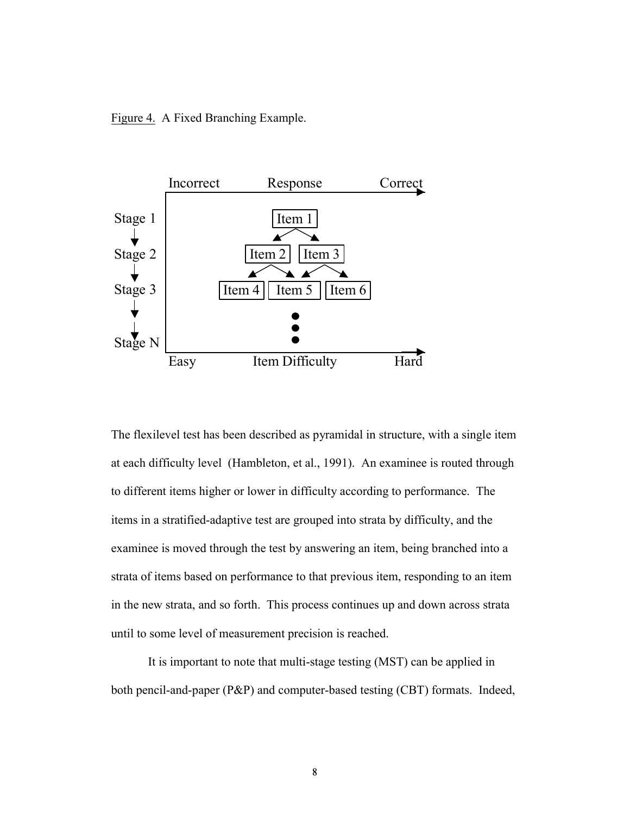Figure 4. A Fixed Branching Example.

![](_page_8_Figure_1.jpeg)

The flexilevel test has been described as pyramidal in structure, with a single item at each difficulty level (Hambleton, et al., 1991). An examinee is routed through to different items higher or lower in difficulty according to performance. The items in a stratified-adaptive test are grouped into strata by difficulty, and the examinee is moved through the test by answering an item, being branched into a strata of items based on performance to that previous item, responding to an item in the new strata, and so forth. This process continues up and down across strata until to some level of measurement precision is reached.

It is important to note that multi-stage testing (MST) can be applied in both pencil-and-paper (P&P) and computer-based testing (CBT) formats. Indeed,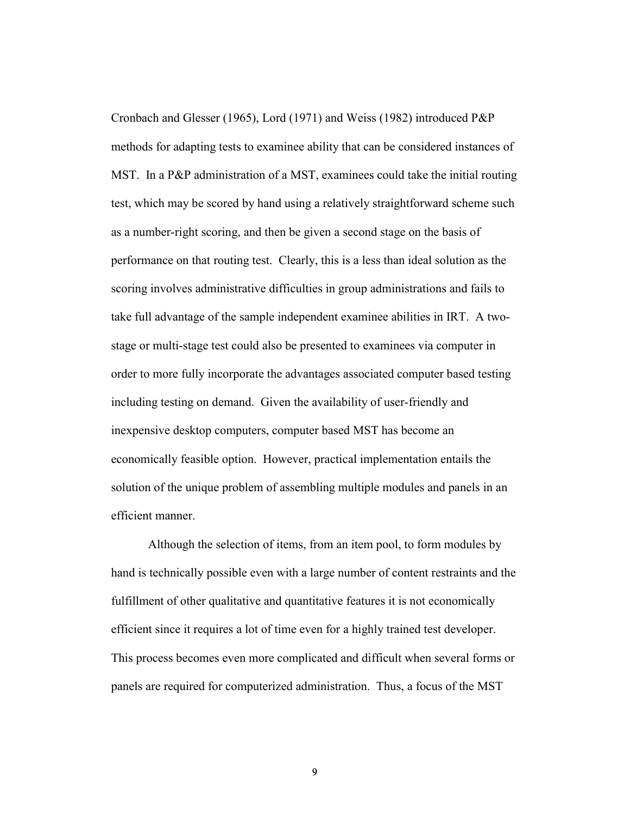Cronbach and Glesser (1965), Lord (1971) and Weiss (1982) introduced P&P methods for adapting tests to examinee ability that can be considered instances of MST. In a P&P administration of a MST, examinees could take the initial routing test, which may be scored by hand using a relatively straightforward scheme such as a number-right scoring, and then be given a second stage on the basis of performance on that routing test. Clearly, this is a less than ideal solution as the scoring involves administrative difficulties in group administrations and fails to take full advantage of the sample independent examinee abilities in IRT. A twostage or multi-stage test could also be presented to examinees via computer in order to more fully incorporate the advantages associated computer based testing including testing on demand. Given the availability of user-friendly and inexpensive desktop computers, computer based MST has become an economically feasible option. However, practical implementation entails the solution of the unique problem of assembling multiple modules and panels in an efficient manner.

Although the selection of items, from an item pool, to form modules by hand is technically possible even with a large number of content restraints and the fulfillment of other qualitative and quantitative features it is not economically efficient since it requires a lot of time even for a highly trained test developer. This process becomes even more complicated and difficult when several forms or panels are required for computerized administration. Thus, a focus of the MST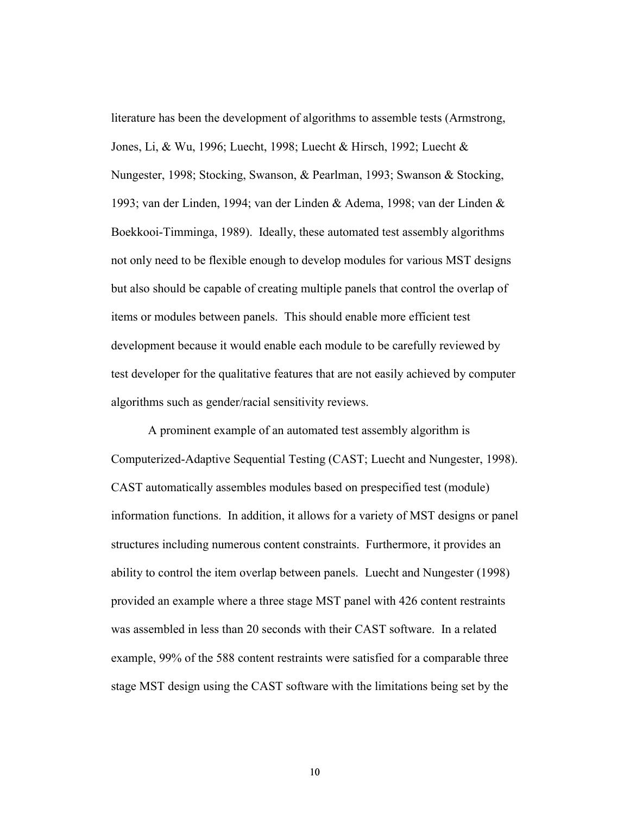literature has been the development of algorithms to assemble tests (Armstrong, Jones, Li, & Wu, 1996; Luecht, 1998; Luecht & Hirsch, 1992; Luecht & Nungester, 1998; Stocking, Swanson, & Pearlman, 1993; Swanson & Stocking, 1993; van der Linden, 1994; van der Linden & Adema, 1998; van der Linden & Boekkooi-Timminga, 1989). Ideally, these automated test assembly algorithms not only need to be flexible enough to develop modules for various MST designs but also should be capable of creating multiple panels that control the overlap of items or modules between panels. This should enable more efficient test development because it would enable each module to be carefully reviewed by test developer for the qualitative features that are not easily achieved by computer algorithms such as gender/racial sensitivity reviews.

A prominent example of an automated test assembly algorithm is Computerized-Adaptive Sequential Testing (CAST; Luecht and Nungester, 1998). CAST automatically assembles modules based on prespecified test (module) information functions. In addition, it allows for a variety of MST designs or panel structures including numerous content constraints. Furthermore, it provides an ability to control the item overlap between panels. Luecht and Nungester (1998) provided an example where a three stage MST panel with 426 content restraints was assembled in less than 20 seconds with their CAST software. In a related example, 99% of the 588 content restraints were satisfied for a comparable three stage MST design using the CAST software with the limitations being set by the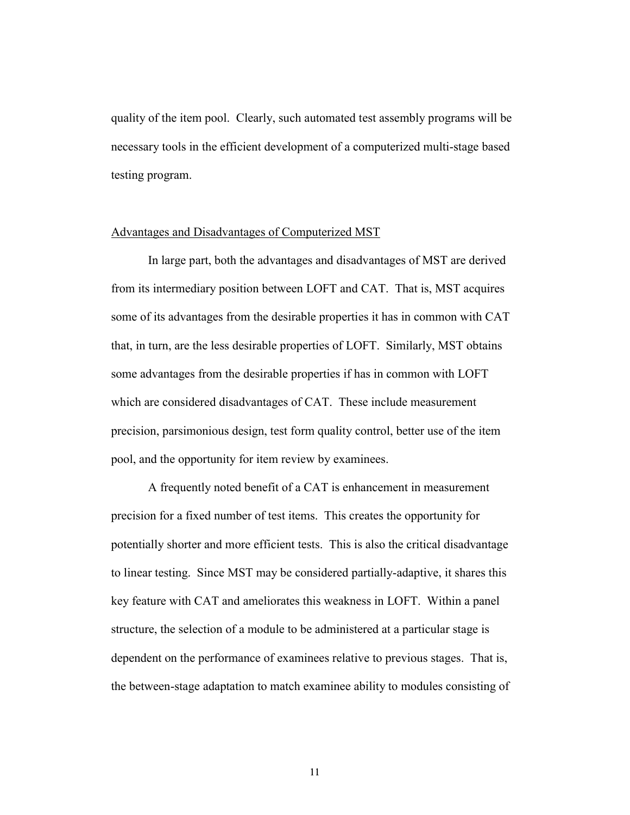quality of the item pool. Clearly, such automated test assembly programs will be necessary tools in the efficient development of a computerized multi-stage based testing program.

#### Advantages and Disadvantages of Computerized MST

In large part, both the advantages and disadvantages of MST are derived from its intermediary position between LOFT and CAT. That is, MST acquires some of its advantages from the desirable properties it has in common with CAT that, in turn, are the less desirable properties of LOFT. Similarly, MST obtains some advantages from the desirable properties if has in common with LOFT which are considered disadvantages of CAT. These include measurement precision, parsimonious design, test form quality control, better use of the item pool, and the opportunity for item review by examinees.

A frequently noted benefit of a CAT is enhancement in measurement precision for a fixed number of test items. This creates the opportunity for potentially shorter and more efficient tests. This is also the critical disadvantage to linear testing. Since MST may be considered partially-adaptive, it shares this key feature with CAT and ameliorates this weakness in LOFT. Within a panel structure, the selection of a module to be administered at a particular stage is dependent on the performance of examinees relative to previous stages. That is, the between-stage adaptation to match examinee ability to modules consisting of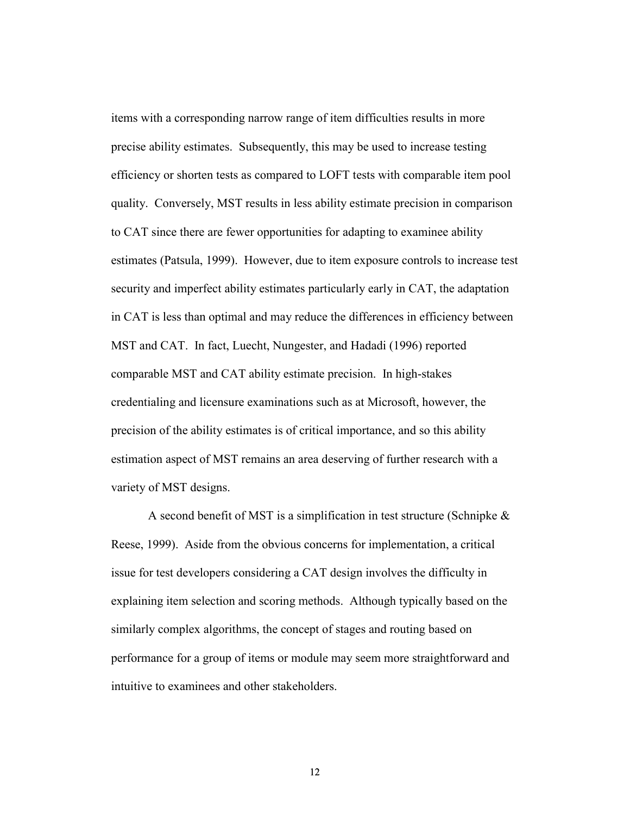items with a corresponding narrow range of item difficulties results in more precise ability estimates. Subsequently, this may be used to increase testing efficiency or shorten tests as compared to LOFT tests with comparable item pool quality. Conversely, MST results in less ability estimate precision in comparison to CAT since there are fewer opportunities for adapting to examinee ability estimates (Patsula, 1999). However, due to item exposure controls to increase test security and imperfect ability estimates particularly early in CAT, the adaptation in CAT is less than optimal and may reduce the differences in efficiency between MST and CAT. In fact, Luecht, Nungester, and Hadadi (1996) reported comparable MST and CAT ability estimate precision. In high-stakes credentialing and licensure examinations such as at Microsoft, however, the precision of the ability estimates is of critical importance, and so this ability estimation aspect of MST remains an area deserving of further research with a variety of MST designs.

A second benefit of MST is a simplification in test structure (Schnipke & Reese, 1999). Aside from the obvious concerns for implementation, a critical issue for test developers considering a CAT design involves the difficulty in explaining item selection and scoring methods. Although typically based on the similarly complex algorithms, the concept of stages and routing based on performance for a group of items or module may seem more straightforward and intuitive to examinees and other stakeholders.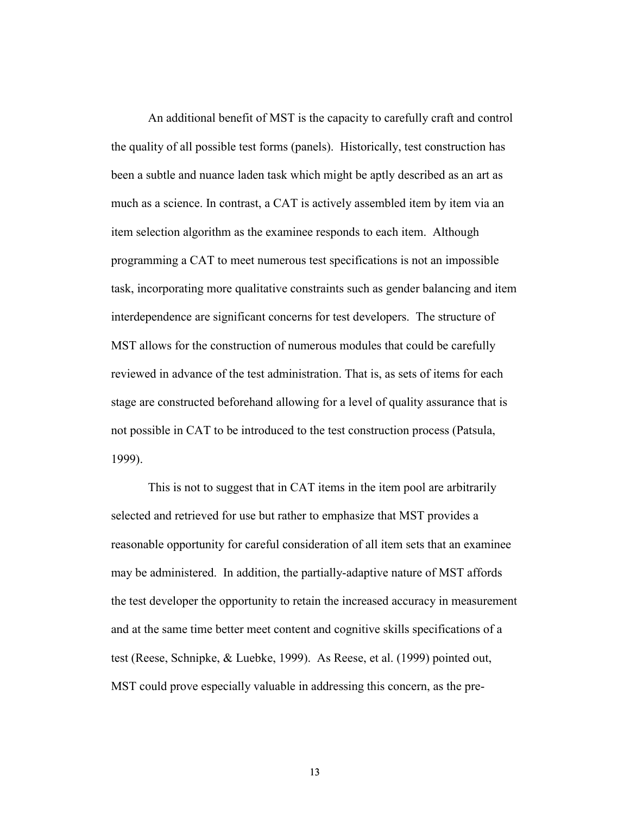An additional benefit of MST is the capacity to carefully craft and control the quality of all possible test forms (panels). Historically, test construction has been a subtle and nuance laden task which might be aptly described as an art as much as a science. In contrast, a CAT is actively assembled item by item via an item selection algorithm as the examinee responds to each item. Although programming a CAT to meet numerous test specifications is not an impossible task, incorporating more qualitative constraints such as gender balancing and item interdependence are significant concerns for test developers. The structure of MST allows for the construction of numerous modules that could be carefully reviewed in advance of the test administration. That is, as sets of items for each stage are constructed beforehand allowing for a level of quality assurance that is not possible in CAT to be introduced to the test construction process (Patsula, 1999).

This is not to suggest that in CAT items in the item pool are arbitrarily selected and retrieved for use but rather to emphasize that MST provides a reasonable opportunity for careful consideration of all item sets that an examinee may be administered. In addition, the partially-adaptive nature of MST affords the test developer the opportunity to retain the increased accuracy in measurement and at the same time better meet content and cognitive skills specifications of a test (Reese, Schnipke, & Luebke, 1999). As Reese, et al. (1999) pointed out, MST could prove especially valuable in addressing this concern, as the pre-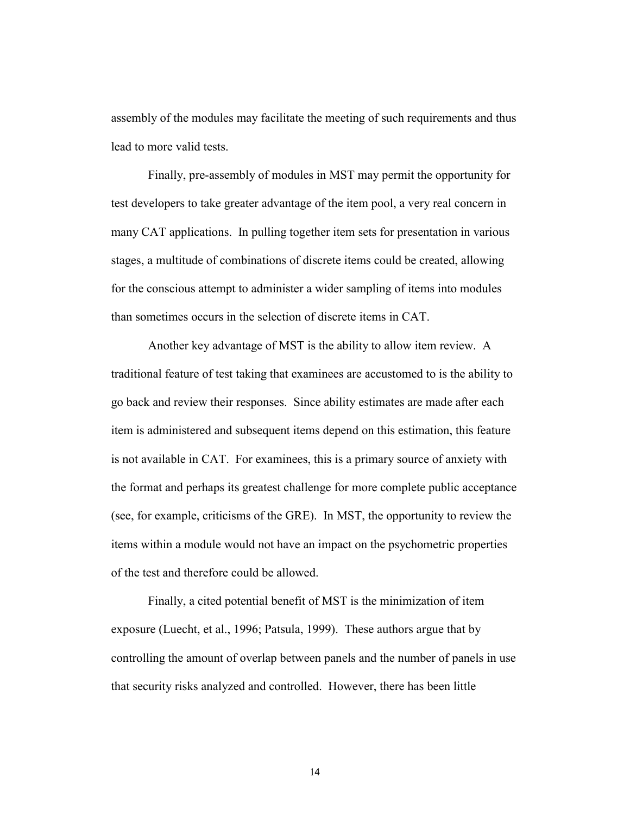assembly of the modules may facilitate the meeting of such requirements and thus lead to more valid tests.

Finally, pre-assembly of modules in MST may permit the opportunity for test developers to take greater advantage of the item pool, a very real concern in many CAT applications. In pulling together item sets for presentation in various stages, a multitude of combinations of discrete items could be created, allowing for the conscious attempt to administer a wider sampling of items into modules than sometimes occurs in the selection of discrete items in CAT.

Another key advantage of MST is the ability to allow item review. A traditional feature of test taking that examinees are accustomed to is the ability to go back and review their responses. Since ability estimates are made after each item is administered and subsequent items depend on this estimation, this feature is not available in CAT. For examinees, this is a primary source of anxiety with the format and perhaps its greatest challenge for more complete public acceptance (see, for example, criticisms of the GRE). In MST, the opportunity to review the items within a module would not have an impact on the psychometric properties of the test and therefore could be allowed.

Finally, a cited potential benefit of MST is the minimization of item exposure (Luecht, et al., 1996; Patsula, 1999). These authors argue that by controlling the amount of overlap between panels and the number of panels in use that security risks analyzed and controlled. However, there has been little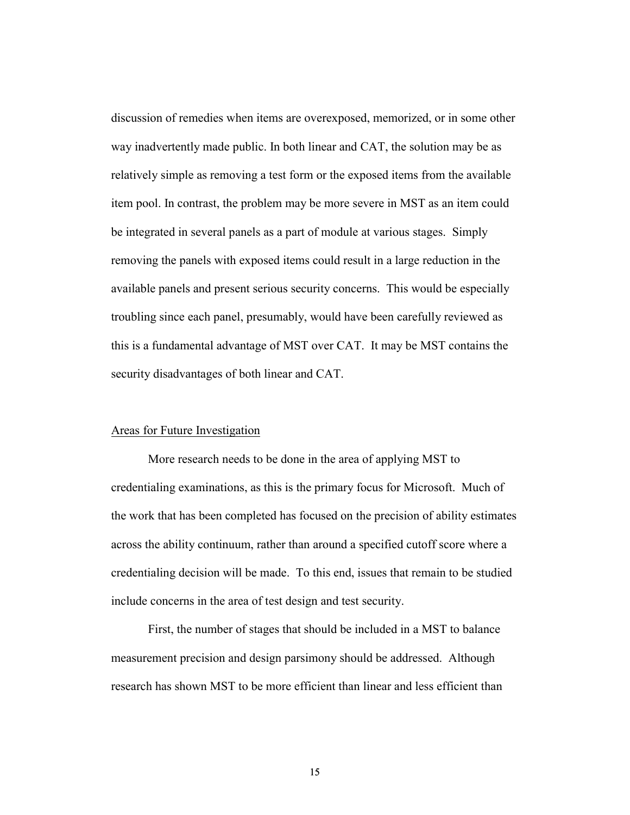discussion of remedies when items are overexposed, memorized, or in some other way inadvertently made public. In both linear and CAT, the solution may be as relatively simple as removing a test form or the exposed items from the available item pool. In contrast, the problem may be more severe in MST as an item could be integrated in several panels as a part of module at various stages. Simply removing the panels with exposed items could result in a large reduction in the available panels and present serious security concerns. This would be especially troubling since each panel, presumably, would have been carefully reviewed as this is a fundamental advantage of MST over CAT. It may be MST contains the security disadvantages of both linear and CAT.

# Areas for Future Investigation

More research needs to be done in the area of applying MST to credentialing examinations, as this is the primary focus for Microsoft. Much of the work that has been completed has focused on the precision of ability estimates across the ability continuum, rather than around a specified cutoff score where a credentialing decision will be made. To this end, issues that remain to be studied include concerns in the area of test design and test security.

First, the number of stages that should be included in a MST to balance measurement precision and design parsimony should be addressed. Although research has shown MST to be more efficient than linear and less efficient than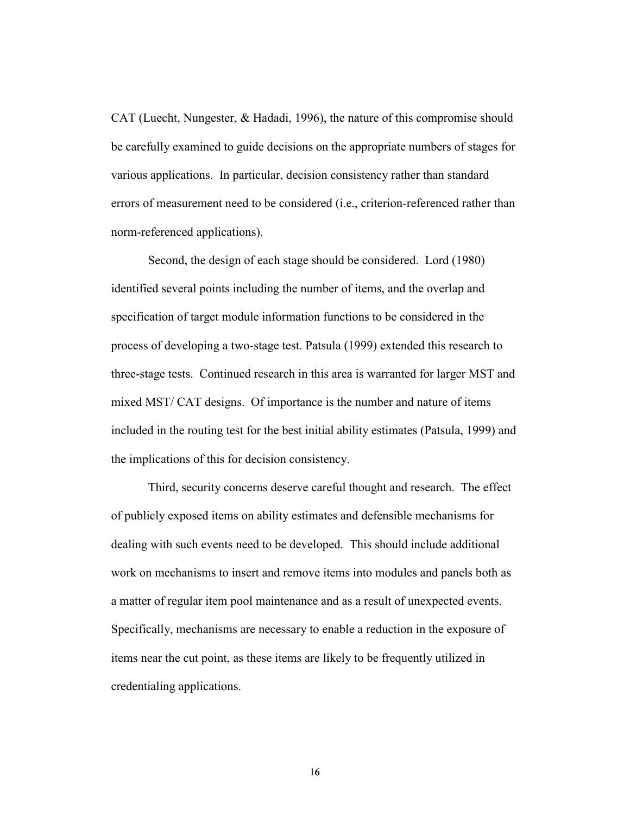CAT (Luecht, Nungester, & Hadadi, 1996), the nature of this compromise should be carefully examined to guide decisions on the appropriate numbers of stages for various applications. In particular, decision consistency rather than standard errors of measurement need to be considered (i.e., criterion-referenced rather than norm-referenced applications).

Second, the design of each stage should be considered. Lord (1980) identified several points including the number of items, and the overlap and specification of target module information functions to be considered in the process of developing a two-stage test. Patsula (1999) extended this research to three-stage tests. Continued research in this area is warranted for larger MST and mixed MST/ CAT designs. Of importance is the number and nature of items included in the routing test for the best initial ability estimates (Patsula, 1999) and the implications of this for decision consistency.

Third, security concerns deserve careful thought and research. The effect of publicly exposed items on ability estimates and defensible mechanisms for dealing with such events need to be developed. This should include additional work on mechanisms to insert and remove items into modules and panels both as a matter of regular item pool maintenance and as a result of unexpected events. Specifically, mechanisms are necessary to enable a reduction in the exposure of items near the cut point, as these items are likely to be frequently utilized in credentialing applications.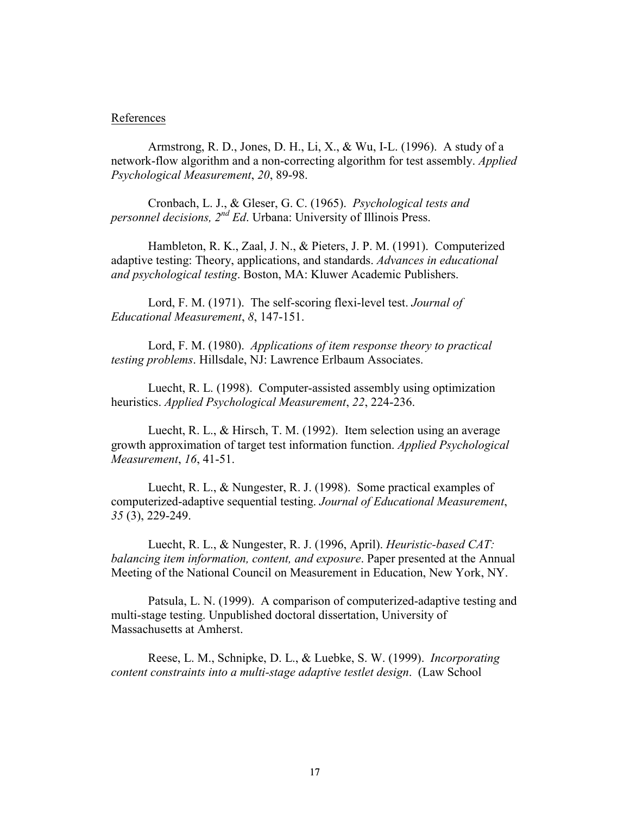#### References

Armstrong, R. D., Jones, D. H., Li, X., & Wu, I-L. (1996). A study of a network-flow algorithm and a non-correcting algorithm for test assembly. *Applied Psychological Measurement*, *20*, 89-98.

Cronbach, L. J., & Gleser, G. C. (1965). *Psychological tests and personnel decisions, 2nd Ed*. Urbana: University of Illinois Press.

Hambleton, R. K., Zaal, J. N., & Pieters, J. P. M. (1991). Computerized adaptive testing: Theory, applications, and standards. *Advances in educational and psychological testing*. Boston, MA: Kluwer Academic Publishers.

Lord, F. M. (1971). The self-scoring flexi-level test. *Journal of Educational Measurement*, *8*, 147-151.

Lord, F. M. (1980). *Applications of item response theory to practical testing problems*. Hillsdale, NJ: Lawrence Erlbaum Associates.

Luecht, R. L. (1998). Computer-assisted assembly using optimization heuristics. *Applied Psychological Measurement*, *22*, 224-236.

Luecht, R. L., & Hirsch, T. M. (1992). Item selection using an average growth approximation of target test information function. *Applied Psychological Measurement*, *16*, 41-51.

Luecht, R. L., & Nungester, R. J. (1998). Some practical examples of computerized-adaptive sequential testing. *Journal of Educational Measurement*, *35* (3), 229-249.

Luecht, R. L., & Nungester, R. J. (1996, April). *Heuristic-based CAT: balancing item information, content, and exposure*. Paper presented at the Annual Meeting of the National Council on Measurement in Education, New York, NY.

Patsula, L. N. (1999). A comparison of computerized-adaptive testing and multi-stage testing. Unpublished doctoral dissertation, University of Massachusetts at Amherst.

Reese, L. M., Schnipke, D. L., & Luebke, S. W. (1999). *Incorporating content constraints into a multi-stage adaptive testlet design*. (Law School